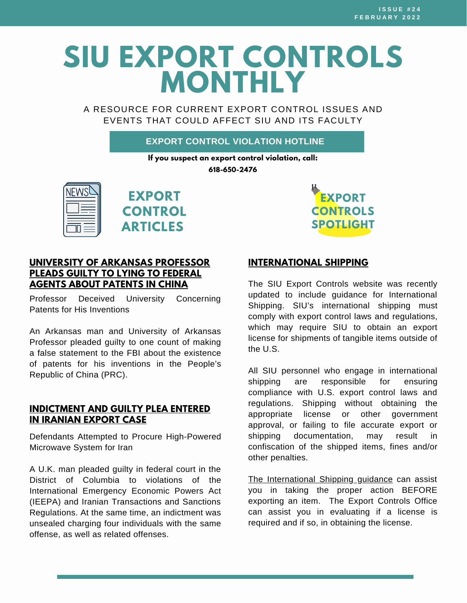# **SIU EXPORT CONTROLS MONTHLY**

A RESOURCE FOR CURRENT EXPORT CONTROL ISSUES AND EVENTS THAT COULD AFFECT SIU AND ITS FACULTY

#### **EXPORT CONTROL VIOLATION HOTLINE**

**If you suspect an export control violation, call: 618-650-2476**







#### **UNIVERSITY OF ARKANSAS [PROFESSOR](https://www.justice.gov/opa/pr/university-arkansas-professor-pleads-guilty-lying-federal-agents-about-patents-china) PLEADS GUILTY TO LYING TO FEDERAL AGENTS ABOUT PATENTS IN CHINA**

Professor Deceived University Concerning Patents for His Inventions

An Arkansas man and University of Arkansas Professor pleaded guilty to one count of making a false statement to the FBI about the existence of patents for his inventions in the People's Republic of China (PRC).

#### **[INDICTMENT](https://www.justice.gov/opa/pr/indictment-and-guilty-plea-entered-iranian-export-case) AND GUILTY PLEA ENTERED IN IRANIAN EXPORT CASE**

Defendants Attempted to Procure High-Powered Microwave System for Iran

A U.K. man pleaded guilty in federal court in the District of Columbia to violations of the International Emergency Economic Powers Act (IEEPA) and Iranian Transactions and Sanctions Regulations. At the same time, an indictment was unsealed charging four individuals with the same offense, as well as related offenses.

#### **[INTERNATIONAL](https://siusystem.edu/academic-affairs/export-controls/InternationalShipping.shtml) SHIPPING**

The SIU Export Controls website was recently updated to include guidance for International Shipping. SIU's international shipping must comply with export control laws and regulations, which may require SIU to obtain an export license for shipments of tangible items outside of the U.S.

All SIU personnel who engage in international shipping are responsible for ensuring compliance with U.S. export control laws and regulations. Shipping without obtaining the appropriate license or other government approval, or failing to file accurate export or shipping documentation, may result in confiscation of the shipped items, fines and/or other penalties.

The [International](https://siusystem.edu/academic-affairs/export-controls/InternationalShipping.shtml) Shipping guidance can assist you in taking the proper action BEFORE exporting an item. The Export [Controls](https://siusystem.edu/academic-affairs/export-controls/contact.shtml) Office can assist you in evaluating if a license is required and if so, in obtaining the license.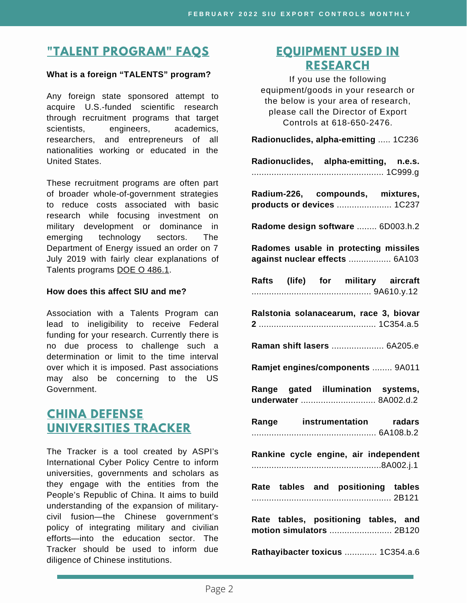# **"TALENT [PROGRAM"](https://siusystem.edu/academic-affairs/export-controls/foreign-talent-programs.shtml) FAQS**

#### **What is a foreign "TALENTS" program?**

Any foreign state sponsored attempt to acquire U.S.-funded scientific research through recruitment programs that target scientists, engineers, academics, researchers, and entrepreneurs of all nationalities working or educated in the United States.

These recruitment programs are often part of broader whole-of-government strategies to reduce costs associated with basic research while focusing investment on military development or dominance in emerging technology sectors. The Department of Energy issued an order on 7 July 2019 with fairly clear explanations of Talents programs DOE O [486.1.](https://www.directives.doe.gov/directives-documents/400-series/0486-1-border/@@images/file)

#### **How does this affect SIU and me?**

Association with a Talents Program can lead to ineligibility to receive Federal funding for your research. Currently there is no due process to challenge such a determination or limit to the time interval over which it is imposed. Past associations may also be concerning to the US Government.

## **CHINA DEFENSE [UNIVERSITIES](https://unitracker.aspi.org.au/) TRACKER**

The Tracker is a tool created by ASPI's International Cyber Policy Centre to inform universities, governments and scholars as they engage with the entities from the People's Republic of China. It aims to build understanding of the expansion of militarycivil fusion—the Chinese government's policy of integrating military and civilian efforts—into the education sector. The Tracker should be used to inform due diligence of Chinese institutions.

## **[EQUIPMENT](https://www.bis.doc.gov/index.php/documents/regulations-docs/2329-commerce-control-list-index-3/file) USED IN RESEARCH**

If you use the following equipment/goods in your research or the below is your area of research, please call the Director of Export Controls at 618-650-2476.

**Radionuclides, alpha-emitting** ..... 1C236

| Radionuclides, alpha-emitting, n.e.s. |  |
|---------------------------------------|--|
|                                       |  |

**Radium-226, compounds, mixtures, products or devices** ...................... 1C237

**Radome design software** ........ 6D003.h.2

**Radomes usable in protecting missiles against nuclear effects** ................. 6A103

|  | Rafts (life) for military | aircraft |
|--|---------------------------|----------|
|  |                           |          |

**Ralstonia solanacearum, race 3, biovar 2** ............................................... 1C354.a.5

**Raman shift lasers** ..................... 6A205.e

**Ramjet engines/components** ........ 9A011

**Range gated illumination systems, underwater** .............................. 8A002.d.2

**Range instrumentation radars** .................................................. 6A108.b.2

**Rankine cycle engine, air independent** ....................................................8A002.j.1

**Rate tables and positioning tables** ........................................................ 2B121

**Rate tables, positioning tables, and motion simulators** ......................... 2B120

**Rathayibacter toxicus** ............. 1C354.a.6